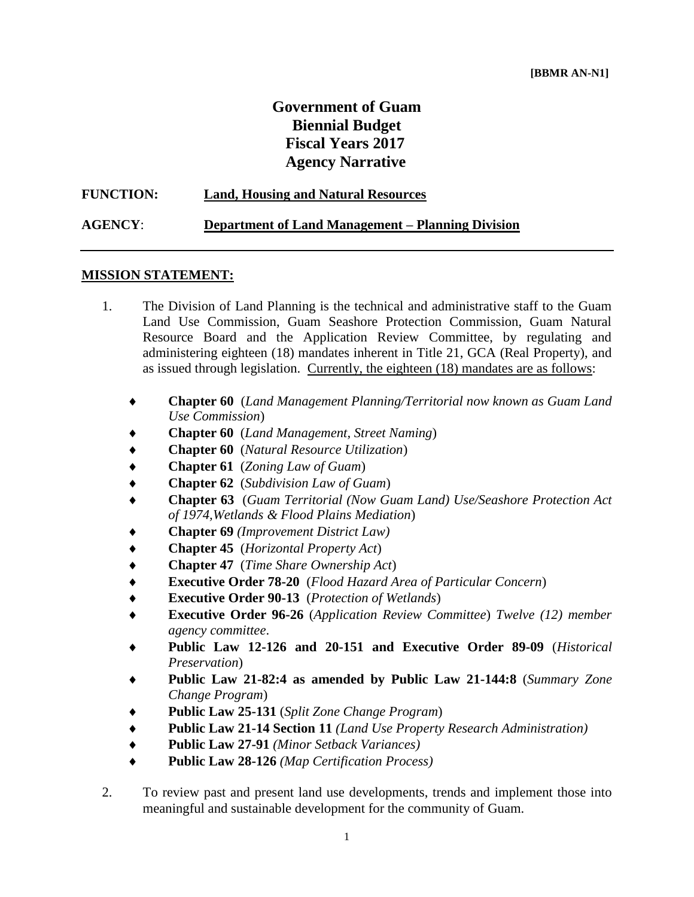# **Government of Guam Biennial Budget Fiscal Years 2017 Agency Narrative**

| <b>FUNCTION:</b> | <b>Land, Housing and Natural Resources</b>               |
|------------------|----------------------------------------------------------|
| <b>AGENCY:</b>   | <b>Department of Land Management – Planning Division</b> |

#### **MISSION STATEMENT:**

- 1. The Division of Land Planning is the technical and administrative staff to the Guam Land Use Commission, Guam Seashore Protection Commission, Guam Natural Resource Board and the Application Review Committee, by regulating and administering eighteen (18) mandates inherent in Title 21, GCA (Real Property), and as issued through legislation. Currently, the eighteen (18) mandates are as follows:
	- **Chapter 60** (*Land Management Planning/Territorial now known as Guam Land Use Commission*)
	- **Chapter 60** (*Land Management, Street Naming*)
	- **Chapter 60** (*Natural Resource Utilization*)
	- **Chapter 61** (*Zoning Law of Guam*)
	- **Chapter 62** (*Subdivision Law of Guam*)
	- **Chapter 63** (*Guam Territorial (Now Guam Land) Use/Seashore Protection Act of 1974,Wetlands & Flood Plains Mediation*)
	- **Chapter 69** *(Improvement District Law)*
	- **Chapter 45** (*Horizontal Property Act*)
	- **Chapter 47** (*Time Share Ownership Act*)
	- **Executive Order 78-20** (*Flood Hazard Area of Particular Concern*)
	- **Executive Order 90-13** (*Protection of Wetlands*)
	- **Executive Order 96-26** (*Application Review Committee*) *Twelve (12) member agency committee*.
	- **Public Law 12-126 and 20-151 and Executive Order 89-09** (*Historical Preservation*)
	- **Public Law 21-82:4 as amended by Public Law 21-144:8** (*Summary Zone Change Program*)
	- **Public Law 25-131** (*Split Zone Change Program*)
	- **Public Law 21-14 Section 11** *(Land Use Property Research Administration)*
	- **Public Law 27-91** *(Minor Setback Variances)*
	- **Public Law 28-126** *(Map Certification Process)*
- 2. To review past and present land use developments, trends and implement those into meaningful and sustainable development for the community of Guam.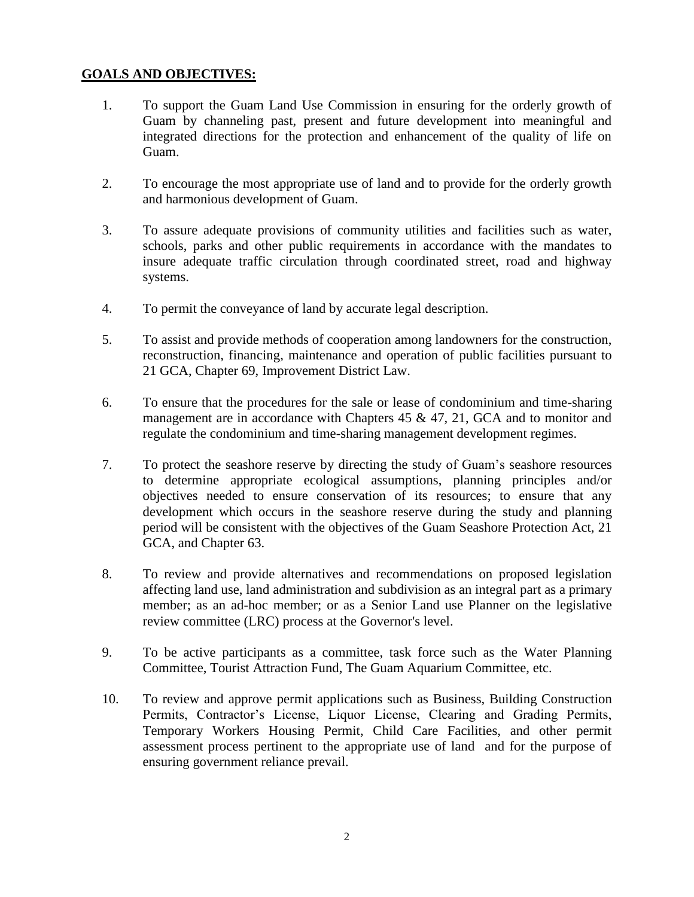### **GOALS AND OBJECTIVES:**

- 1. To support the Guam Land Use Commission in ensuring for the orderly growth of Guam by channeling past, present and future development into meaningful and integrated directions for the protection and enhancement of the quality of life on Guam.
- 2. To encourage the most appropriate use of land and to provide for the orderly growth and harmonious development of Guam.
- 3. To assure adequate provisions of community utilities and facilities such as water, schools, parks and other public requirements in accordance with the mandates to insure adequate traffic circulation through coordinated street, road and highway systems.
- 4. To permit the conveyance of land by accurate legal description.
- 5. To assist and provide methods of cooperation among landowners for the construction, reconstruction, financing, maintenance and operation of public facilities pursuant to 21 GCA, Chapter 69, Improvement District Law.
- 6. To ensure that the procedures for the sale or lease of condominium and time-sharing management are in accordance with Chapters 45 & 47, 21, GCA and to monitor and regulate the condominium and time-sharing management development regimes.
- 7. To protect the seashore reserve by directing the study of Guam's seashore resources to determine appropriate ecological assumptions, planning principles and/or objectives needed to ensure conservation of its resources; to ensure that any development which occurs in the seashore reserve during the study and planning period will be consistent with the objectives of the Guam Seashore Protection Act, 21 GCA, and Chapter 63.
- 8. To review and provide alternatives and recommendations on proposed legislation affecting land use, land administration and subdivision as an integral part as a primary member; as an ad-hoc member; or as a Senior Land use Planner on the legislative review committee (LRC) process at the Governor's level.
- 9. To be active participants as a committee, task force such as the Water Planning Committee, Tourist Attraction Fund, The Guam Aquarium Committee, etc.
- 10. To review and approve permit applications such as Business, Building Construction Permits, Contractor's License, Liquor License, Clearing and Grading Permits, Temporary Workers Housing Permit, Child Care Facilities, and other permit assessment process pertinent to the appropriate use of land and for the purpose of ensuring government reliance prevail.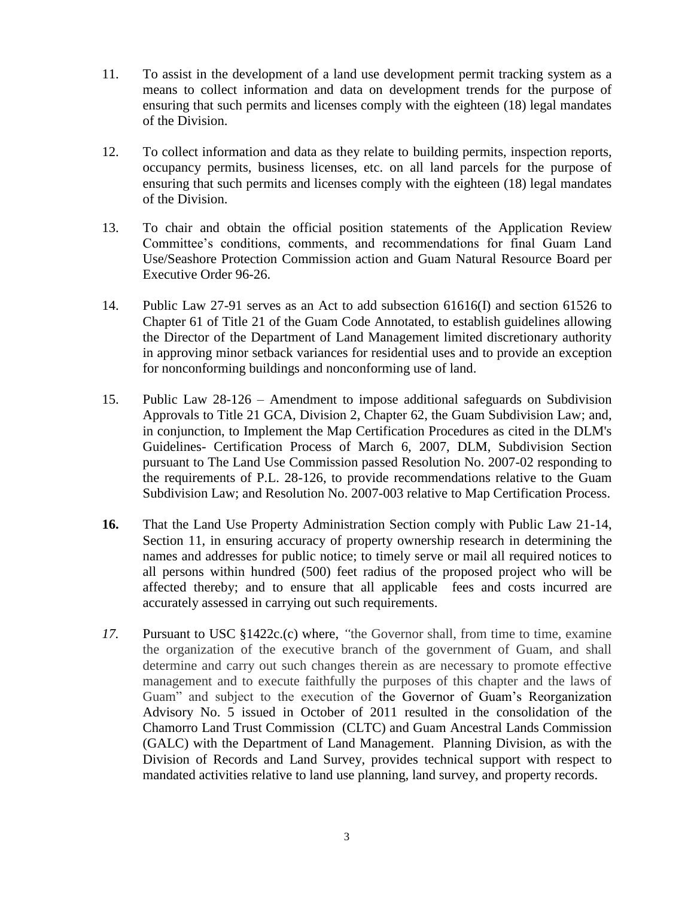- 11. To assist in the development of a land use development permit tracking system as a means to collect information and data on development trends for the purpose of ensuring that such permits and licenses comply with the eighteen (18) legal mandates of the Division.
- 12. To collect information and data as they relate to building permits, inspection reports, occupancy permits, business licenses, etc. on all land parcels for the purpose of ensuring that such permits and licenses comply with the eighteen (18) legal mandates of the Division.
- 13. To chair and obtain the official position statements of the Application Review Committee's conditions, comments, and recommendations for final Guam Land Use/Seashore Protection Commission action and Guam Natural Resource Board per Executive Order 96-26.
- 14. Public Law 27-91 serves as an Act to add subsection 61616(I) and section 61526 to Chapter 61 of Title 21 of the Guam Code Annotated, to establish guidelines allowing the Director of the Department of Land Management limited discretionary authority in approving minor setback variances for residential uses and to provide an exception for nonconforming buildings and nonconforming use of land.
- 15. Public Law 28-126 Amendment to impose additional safeguards on Subdivision Approvals to Title 21 GCA, Division 2, Chapter 62, the Guam Subdivision Law; and, in conjunction, to Implement the Map Certification Procedures as cited in the DLM's Guidelines- Certification Process of March 6, 2007, DLM, Subdivision Section pursuant to The Land Use Commission passed Resolution No. 2007-02 responding to the requirements of P.L. 28-126, to provide recommendations relative to the Guam Subdivision Law; and Resolution No. 2007-003 relative to Map Certification Process.
- **16.** That the Land Use Property Administration Section comply with Public Law 21-14, Section 11, in ensuring accuracy of property ownership research in determining the names and addresses for public notice; to timely serve or mail all required notices to all persons within hundred (500) feet radius of the proposed project who will be affected thereby; and to ensure that all applicable fees and costs incurred are accurately assessed in carrying out such requirements.
- *17.* Pursuant to USC §1422c.(c) where, *"*the Governor shall, from time to time, examine the organization of the executive branch of the government of Guam, and shall determine and carry out such changes therein as are necessary to promote effective management and to execute faithfully the purposes of this chapter and the laws of Guam" and subject to the execution of the Governor of Guam's Reorganization Advisory No. 5 issued in October of 2011 resulted in the consolidation of the Chamorro Land Trust Commission (CLTC) and Guam Ancestral Lands Commission (GALC) with the Department of Land Management. Planning Division, as with the Division of Records and Land Survey, provides technical support with respect to mandated activities relative to land use planning, land survey, and property records.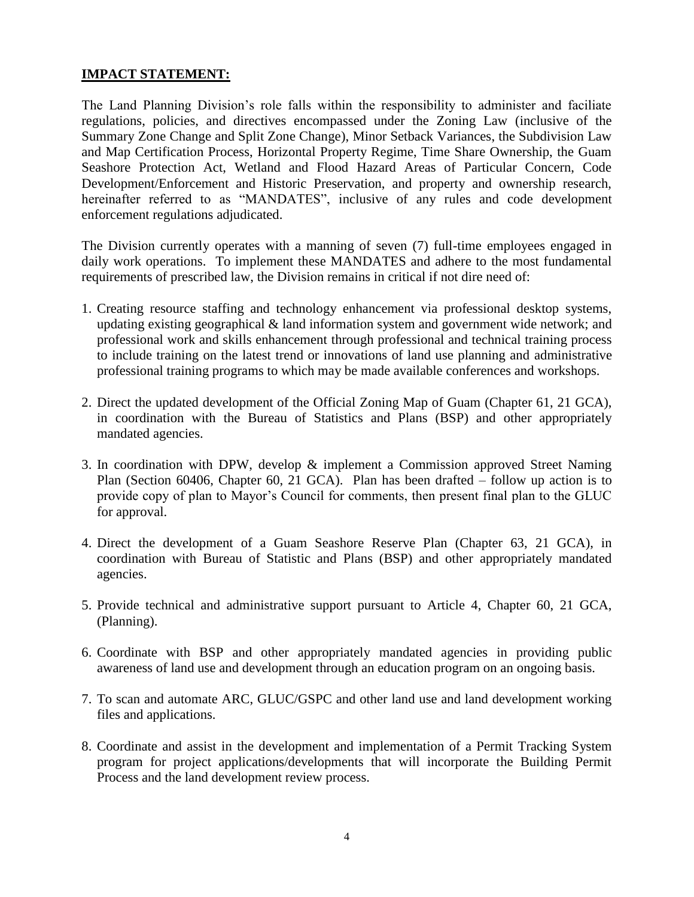#### **IMPACT STATEMENT:**

The Land Planning Division's role falls within the responsibility to administer and faciliate regulations, policies, and directives encompassed under the Zoning Law (inclusive of the Summary Zone Change and Split Zone Change), Minor Setback Variances, the Subdivision Law and Map Certification Process, Horizontal Property Regime, Time Share Ownership, the Guam Seashore Protection Act, Wetland and Flood Hazard Areas of Particular Concern, Code Development/Enforcement and Historic Preservation, and property and ownership research, hereinafter referred to as "MANDATES", inclusive of any rules and code development enforcement regulations adjudicated.

The Division currently operates with a manning of seven (7) full-time employees engaged in daily work operations. To implement these MANDATES and adhere to the most fundamental requirements of prescribed law, the Division remains in critical if not dire need of:

- 1. Creating resource staffing and technology enhancement via professional desktop systems, updating existing geographical & land information system and government wide network; and professional work and skills enhancement through professional and technical training process to include training on the latest trend or innovations of land use planning and administrative professional training programs to which may be made available conferences and workshops.
- 2. Direct the updated development of the Official Zoning Map of Guam (Chapter 61, 21 GCA), in coordination with the Bureau of Statistics and Plans (BSP) and other appropriately mandated agencies.
- 3. In coordination with DPW, develop & implement a Commission approved Street Naming Plan (Section 60406, Chapter 60, 21 GCA). Plan has been drafted – follow up action is to provide copy of plan to Mayor's Council for comments, then present final plan to the GLUC for approval.
- 4. Direct the development of a Guam Seashore Reserve Plan (Chapter 63, 21 GCA), in coordination with Bureau of Statistic and Plans (BSP) and other appropriately mandated agencies.
- 5. Provide technical and administrative support pursuant to Article 4, Chapter 60, 21 GCA, (Planning).
- 6. Coordinate with BSP and other appropriately mandated agencies in providing public awareness of land use and development through an education program on an ongoing basis.
- 7. To scan and automate ARC, GLUC/GSPC and other land use and land development working files and applications.
- 8. Coordinate and assist in the development and implementation of a Permit Tracking System program for project applications/developments that will incorporate the Building Permit Process and the land development review process.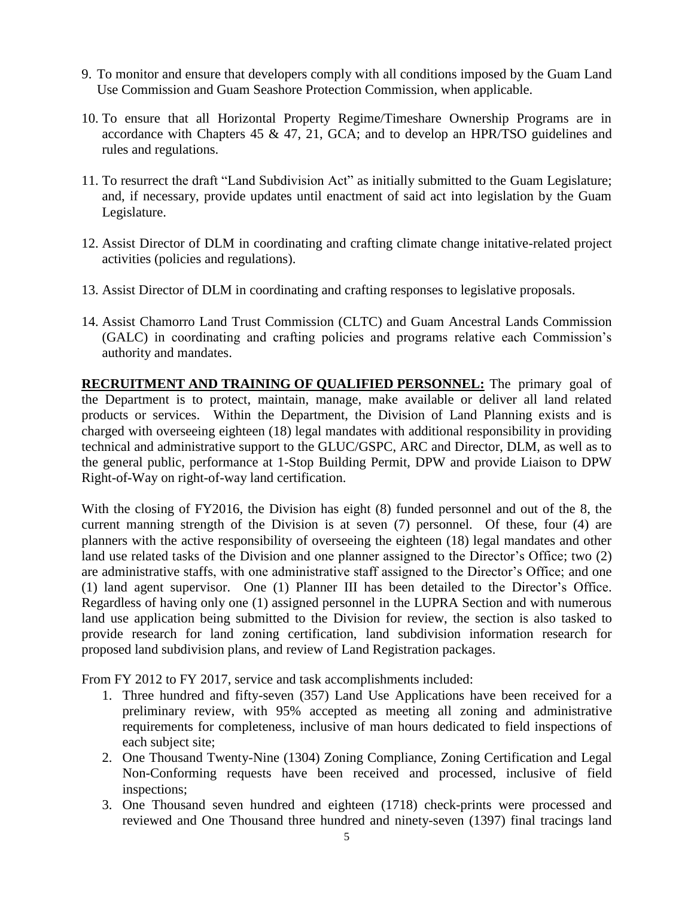- 9. To monitor and ensure that developers comply with all conditions imposed by the Guam Land Use Commission and Guam Seashore Protection Commission, when applicable.
- 10. To ensure that all Horizontal Property Regime/Timeshare Ownership Programs are in accordance with Chapters 45 & 47, 21, GCA; and to develop an HPR/TSO guidelines and rules and regulations.
- 11. To resurrect the draft "Land Subdivision Act" as initially submitted to the Guam Legislature; and, if necessary, provide updates until enactment of said act into legislation by the Guam Legislature.
- 12. Assist Director of DLM in coordinating and crafting climate change initative-related project activities (policies and regulations).
- 13. Assist Director of DLM in coordinating and crafting responses to legislative proposals.
- 14. Assist Chamorro Land Trust Commission (CLTC) and Guam Ancestral Lands Commission (GALC) in coordinating and crafting policies and programs relative each Commission's authority and mandates.

**RECRUITMENT AND TRAINING OF QUALIFIED PERSONNEL:** The primary goal of the Department is to protect, maintain, manage, make available or deliver all land related products or services. Within the Department, the Division of Land Planning exists and is charged with overseeing eighteen (18) legal mandates with additional responsibility in providing technical and administrative support to the GLUC/GSPC, ARC and Director, DLM, as well as to the general public, performance at 1-Stop Building Permit, DPW and provide Liaison to DPW Right-of-Way on right-of-way land certification.

With the closing of FY2016, the Division has eight (8) funded personnel and out of the 8, the current manning strength of the Division is at seven (7) personnel. Of these, four (4) are planners with the active responsibility of overseeing the eighteen (18) legal mandates and other land use related tasks of the Division and one planner assigned to the Director's Office; two (2) are administrative staffs, with one administrative staff assigned to the Director's Office; and one (1) land agent supervisor. One (1) Planner III has been detailed to the Director's Office. Regardless of having only one (1) assigned personnel in the LUPRA Section and with numerous land use application being submitted to the Division for review, the section is also tasked to provide research for land zoning certification, land subdivision information research for proposed land subdivision plans, and review of Land Registration packages.

From FY 2012 to FY 2017, service and task accomplishments included:

- 1. Three hundred and fifty-seven (357) Land Use Applications have been received for a preliminary review, with 95% accepted as meeting all zoning and administrative requirements for completeness, inclusive of man hours dedicated to field inspections of each subject site;
- 2. One Thousand Twenty-Nine (1304) Zoning Compliance, Zoning Certification and Legal Non-Conforming requests have been received and processed, inclusive of field inspections;
- 3. One Thousand seven hundred and eighteen (1718) check-prints were processed and reviewed and One Thousand three hundred and ninety-seven (1397) final tracings land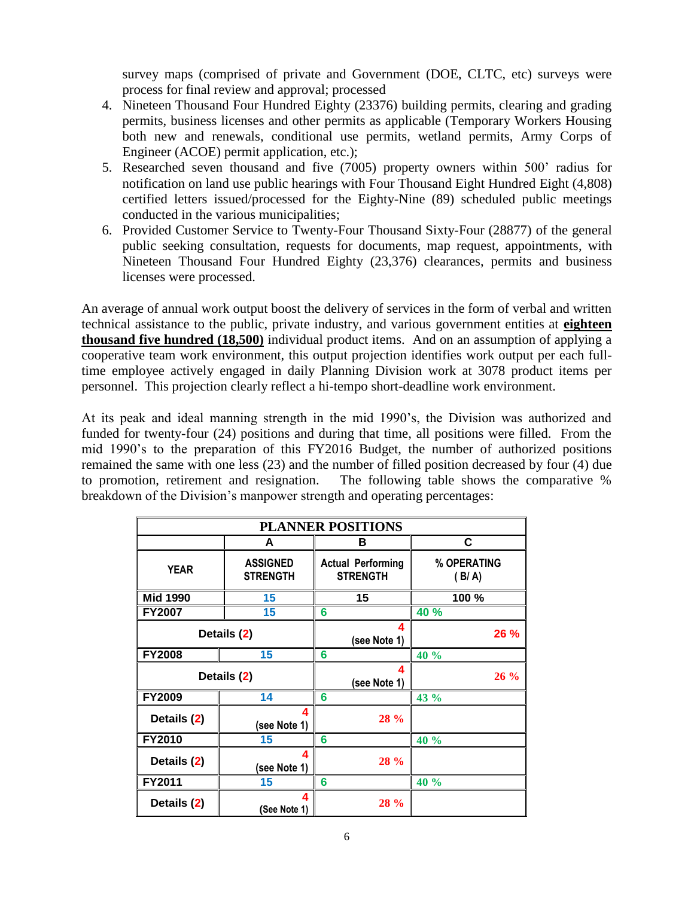survey maps (comprised of private and Government (DOE, CLTC, etc) surveys were process for final review and approval; processed

- 4. Nineteen Thousand Four Hundred Eighty (23376) building permits, clearing and grading permits, business licenses and other permits as applicable (Temporary Workers Housing both new and renewals, conditional use permits, wetland permits, Army Corps of Engineer (ACOE) permit application, etc.);
- 5. Researched seven thousand and five (7005) property owners within 500' radius for notification on land use public hearings with Four Thousand Eight Hundred Eight (4,808) certified letters issued/processed for the Eighty-Nine (89) scheduled public meetings conducted in the various municipalities;
- 6. Provided Customer Service to Twenty-Four Thousand Sixty-Four (28877) of the general public seeking consultation, requests for documents, map request, appointments, with Nineteen Thousand Four Hundred Eighty (23,376) clearances, permits and business licenses were processed.

An average of annual work output boost the delivery of services in the form of verbal and written technical assistance to the public, private industry, and various government entities at **eighteen thousand five hundred (18,500)** individual product items. And on an assumption of applying a cooperative team work environment, this output projection identifies work output per each fulltime employee actively engaged in daily Planning Division work at 3078 product items per personnel. This projection clearly reflect a hi-tempo short-deadline work environment.

At its peak and ideal manning strength in the mid 1990's, the Division was authorized and funded for twenty-four (24) positions and during that time, all positions were filled. From the mid 1990's to the preparation of this FY2016 Budget, the number of authorized positions remained the same with one less (23) and the number of filled position decreased by four (4) due to promotion, retirement and resignation. The following table shows the comparative % breakdown of the Division's manpower strength and operating percentages:

| <b>PLANNER POSITIONS</b> |                                    |                                             |                      |
|--------------------------|------------------------------------|---------------------------------------------|----------------------|
|                          | A                                  | в                                           | С                    |
| <b>YEAR</b>              | <b>ASSIGNED</b><br><b>STRENGTH</b> | <b>Actual Performing</b><br><b>STRENGTH</b> | % OPERATING<br>(B/A) |
| <b>Mid 1990</b>          | 15                                 | 15                                          | 100 %                |
| FY2007                   | 15                                 | 6                                           | 40 %                 |
| Details (2)              |                                    | 4<br>(see Note 1)                           | 26 %                 |
| <b>FY2008</b>            | 15                                 | 6                                           | 40 %                 |
| Details (2)              |                                    | 4<br>(see Note 1)                           | 26 %                 |
| <b>FY2009</b>            | 14                                 | 6                                           | 43 %                 |
| Details (2)              | 4<br>(see Note 1)                  | 28 %                                        |                      |
| FY2010                   | 15                                 | 6                                           | 40 %                 |
| Details (2)              | 4<br>(see Note 1)                  | <b>28 %</b>                                 |                      |
| FY2011                   | 15                                 | 6                                           | 40 %                 |
| Details (2)              | 4<br>(See Note 1)                  | 28 %                                        |                      |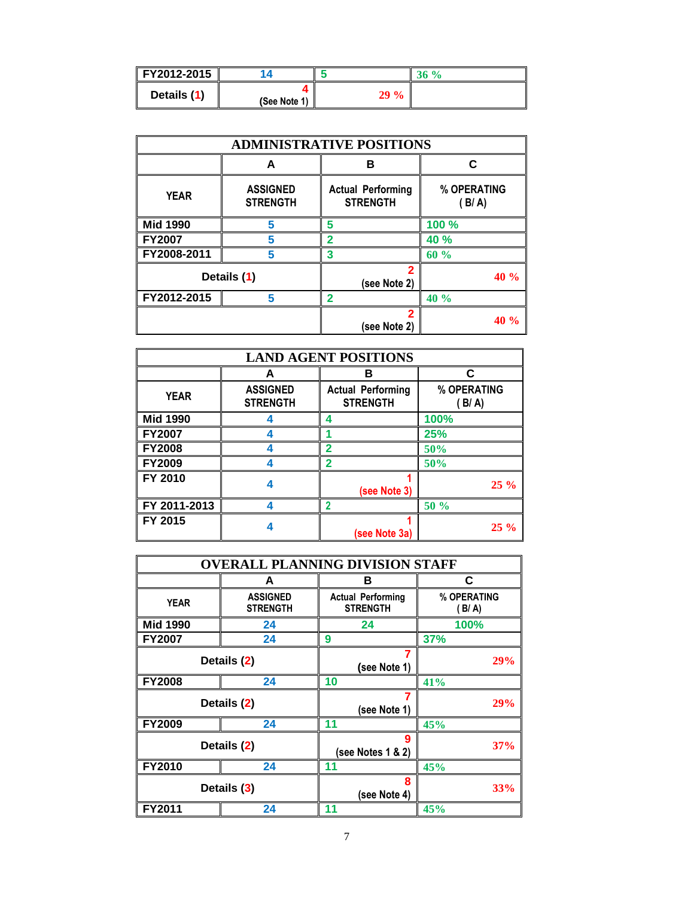| FY2012-2015 |              |        |  |
|-------------|--------------|--------|--|
| Details (1) | (See Note 1) | $29\%$ |  |

| <b>ADMINISTRATIVE POSITIONS</b> |                                    |                                             |                      |
|---------------------------------|------------------------------------|---------------------------------------------|----------------------|
|                                 | А                                  | в                                           | C                    |
| <b>YEAR</b>                     | <b>ASSIGNED</b><br><b>STRENGTH</b> | <b>Actual Performing</b><br><b>STRENGTH</b> | % OPERATING<br>(B/A) |
| <b>Mid 1990</b>                 | 5                                  | 5                                           | 100 %                |
| <b>FY2007</b>                   | 5                                  | $\overline{2}$                              | 40 %                 |
| FY2008-2011                     | 5                                  | 3                                           | 60%                  |
| Details (1)                     |                                    | 2<br>(see Note 2)                           | 40%                  |
| FY2012-2015                     | 5                                  | າ                                           | 40%                  |
|                                 |                                    | 2<br>(see Note 2)                           | 40 %                 |

| <b>LAND AGENT POSITIONS</b> |                                    |                                             |                    |
|-----------------------------|------------------------------------|---------------------------------------------|--------------------|
|                             | А                                  | в                                           | C                  |
| <b>YEAR</b>                 | <b>ASSIGNED</b><br><b>STRENGTH</b> | <b>Actual Performing</b><br><b>STRENGTH</b> | % OPERATING<br>B/A |
| <b>Mid 1990</b>             |                                    | 4                                           | 100%               |
| <b>FY2007</b>               |                                    |                                             | 25%                |
| <b>FY2008</b>               |                                    | 2                                           | 50%                |
| <b>FY2009</b>               |                                    | 2                                           | 50%                |
| FY 2010                     |                                    | (see Note 3)                                | $25\%$             |
| FY 2011-2013                |                                    | $\overline{2}$                              | 50 %               |
| FY 2015                     |                                    | (see Note 3a)                               | $25\%$             |

| <b>OVERALL PLANNING DIVISION STAFF</b> |                                    |                                             |                      |
|----------------------------------------|------------------------------------|---------------------------------------------|----------------------|
|                                        | А                                  | в                                           | C                    |
| <b>YEAR</b>                            | <b>ASSIGNED</b><br><b>STRENGTH</b> | <b>Actual Performing</b><br><b>STRENGTH</b> | % OPERATING<br>(B/A) |
| <b>Mid 1990</b>                        | 24                                 | 24                                          | 100%                 |
| <b>FY2007</b>                          | 24                                 | 9                                           | 37%                  |
|                                        | Details (2)                        | 7<br>(see Note 1)                           | 29%                  |
| <b>FY2008</b>                          | 24                                 | 10                                          | 41%                  |
| Details (2)                            |                                    | (see Note 1)                                | 29%                  |
| <b>FY2009</b>                          | 24                                 | 11                                          | 45%                  |
| Details (2)                            |                                    | 9<br>(see Notes 1 & 2)                      | 37%                  |
| <b>FY2010</b>                          | 24                                 | 11                                          | 45%                  |
| Details (3)                            |                                    | 8<br>(see Note 4)                           | <b>33%</b>           |
| FY2011                                 | 24                                 | 11                                          | 45%                  |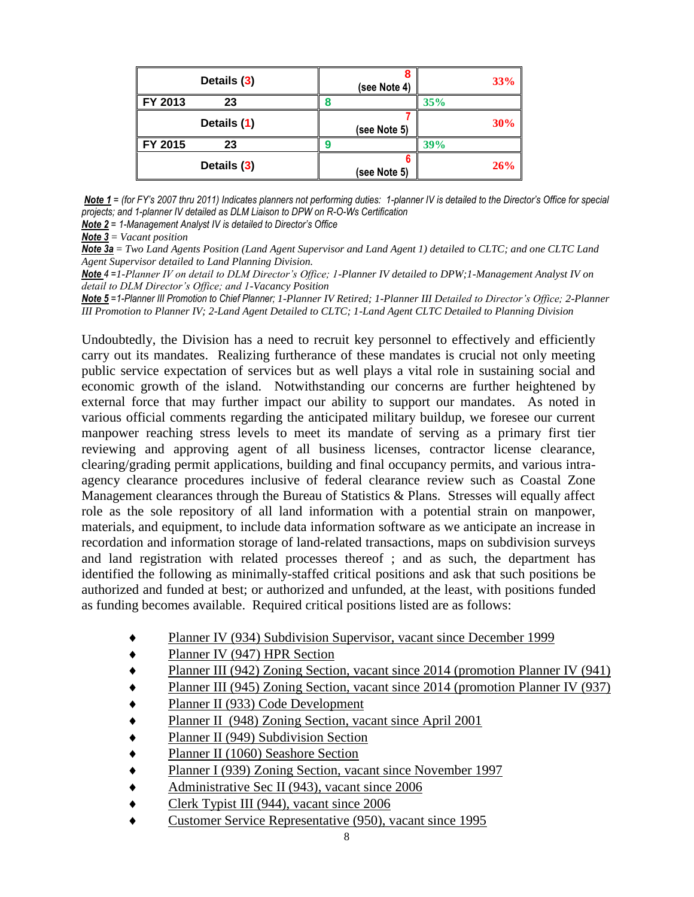| Details (3)   | (see Note 4) | 33%        |
|---------------|--------------|------------|
| FY 2013<br>23 |              | 35%        |
| Details (1)   | (see Note 5) | 30%        |
| FY 2015<br>23 |              | <b>39%</b> |
| Details (3)   | (see Note 5) | 26%        |

*Note 1 = (for FY's 2007 thru 2011) Indicates planners not performing duties: 1-planner IV is detailed to the Director's Office for special projects; and 1-planner IV detailed as DLM Liaison to DPW on R-O-Ws Certification*

*Note 2 = 1-Management Analyst IV is detailed to Director's Office*

*Note 3* = *Vacant position*

*Note 3a* = *Two Land Agents Position (Land Agent Supervisor and Land Agent 1) detailed to CLTC; and one CLTC Land Agent Supervisor detailed to Land Planning Division.*

*Note 4 =1-Planner IV on detail to DLM Director's Office; 1-Planner IV detailed to DPW;1-Management Analyst IV on detail to DLM Director's Office; and 1-Vacancy Position*

*Note 5 =1-Planner III Promotion to Chief Planner; 1-Planner IV Retired; 1-Planner III Detailed to Director's Office; 2-Planner III Promotion to Planner IV; 2-Land Agent Detailed to CLTC; 1-Land Agent CLTC Detailed to Planning Division*

Undoubtedly, the Division has a need to recruit key personnel to effectively and efficiently carry out its mandates. Realizing furtherance of these mandates is crucial not only meeting public service expectation of services but as well plays a vital role in sustaining social and economic growth of the island. Notwithstanding our concerns are further heightened by external force that may further impact our ability to support our mandates. As noted in various official comments regarding the anticipated military buildup, we foresee our current manpower reaching stress levels to meet its mandate of serving as a primary first tier reviewing and approving agent of all business licenses, contractor license clearance, clearing/grading permit applications, building and final occupancy permits, and various intraagency clearance procedures inclusive of federal clearance review such as Coastal Zone Management clearances through the Bureau of Statistics & Plans. Stresses will equally affect role as the sole repository of all land information with a potential strain on manpower, materials, and equipment, to include data information software as we anticipate an increase in recordation and information storage of land-related transactions, maps on subdivision surveys and land registration with related processes thereof ; and as such, the department has identified the following as minimally-staffed critical positions and ask that such positions be authorized and funded at best; or authorized and unfunded, at the least, with positions funded as funding becomes available. Required critical positions listed are as follows:

- Planner IV (934) Subdivision Supervisor, vacant since December 1999
- Planner IV (947) HPR Section
- Planner III (942) Zoning Section, vacant since 2014 (promotion Planner IV (941)
- Planner III (945) Zoning Section, vacant since 2014 (promotion Planner IV (937)
- ◆ Planner II (933) Code Development
- ◆ Planner II (948) Zoning Section, vacant since April 2001
- Planner II (949) Subdivision Section
- ◆ Planner II (1060) Seashore Section
- ◆ Planner I (939) Zoning Section, vacant since November 1997
- ◆ Administrative Sec II (943), vacant since 2006
- Clerk Typist III (944), vacant since 2006
- Customer Service Representative (950), vacant since 1995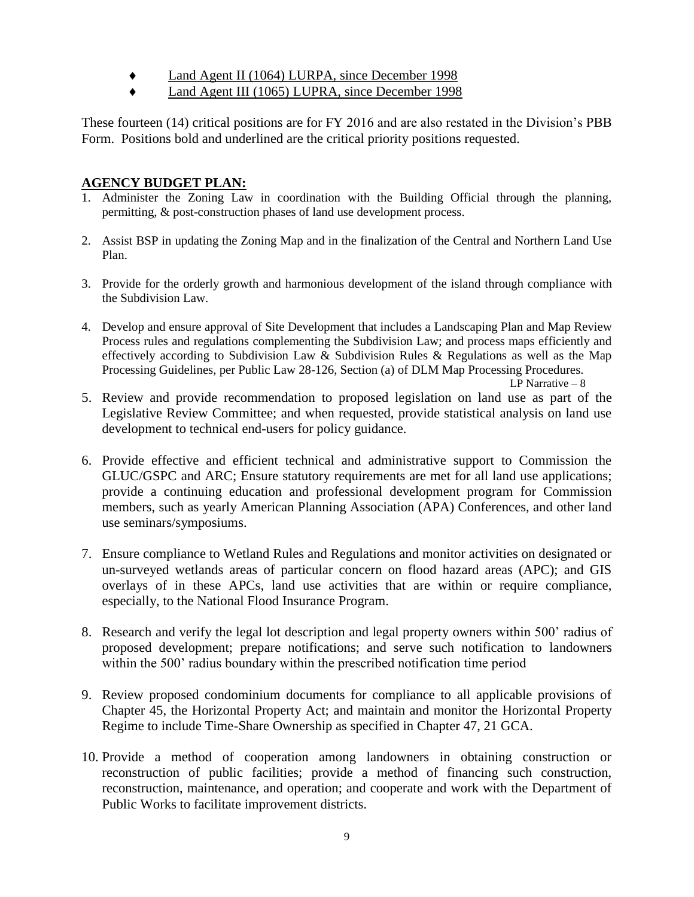- Land Agent II (1064) LURPA, since December 1998
- Land Agent III (1065) LUPRA, since December 1998

These fourteen (14) critical positions are for FY 2016 and are also restated in the Division's PBB Form. Positions bold and underlined are the critical priority positions requested.

## **AGENCY BUDGET PLAN:**

- 1. Administer the Zoning Law in coordination with the Building Official through the planning, permitting, & post-construction phases of land use development process.
- 2. Assist BSP in updating the Zoning Map and in the finalization of the Central and Northern Land Use Plan.
- 3. Provide for the orderly growth and harmonious development of the island through compliance with the Subdivision Law.
- 4. Develop and ensure approval of Site Development that includes a Landscaping Plan and Map Review Process rules and regulations complementing the Subdivision Law; and process maps efficiently and effectively according to Subdivision Law & Subdivision Rules & Regulations as well as the Map Processing Guidelines, per Public Law 28-126, Section (a) of DLM Map Processing Procedures.

LP Narrative – 8

- 5. Review and provide recommendation to proposed legislation on land use as part of the Legislative Review Committee; and when requested, provide statistical analysis on land use development to technical end-users for policy guidance.
- 6. Provide effective and efficient technical and administrative support to Commission the GLUC/GSPC and ARC; Ensure statutory requirements are met for all land use applications; provide a continuing education and professional development program for Commission members, such as yearly American Planning Association (APA) Conferences, and other land use seminars/symposiums.
- 7. Ensure compliance to Wetland Rules and Regulations and monitor activities on designated or un-surveyed wetlands areas of particular concern on flood hazard areas (APC); and GIS overlays of in these APCs, land use activities that are within or require compliance, especially, to the National Flood Insurance Program.
- 8. Research and verify the legal lot description and legal property owners within 500' radius of proposed development; prepare notifications; and serve such notification to landowners within the 500' radius boundary within the prescribed notification time period
- 9. Review proposed condominium documents for compliance to all applicable provisions of Chapter 45, the Horizontal Property Act; and maintain and monitor the Horizontal Property Regime to include Time-Share Ownership as specified in Chapter 47, 21 GCA.
- 10. Provide a method of cooperation among landowners in obtaining construction or reconstruction of public facilities; provide a method of financing such construction, reconstruction, maintenance, and operation; and cooperate and work with the Department of Public Works to facilitate improvement districts.